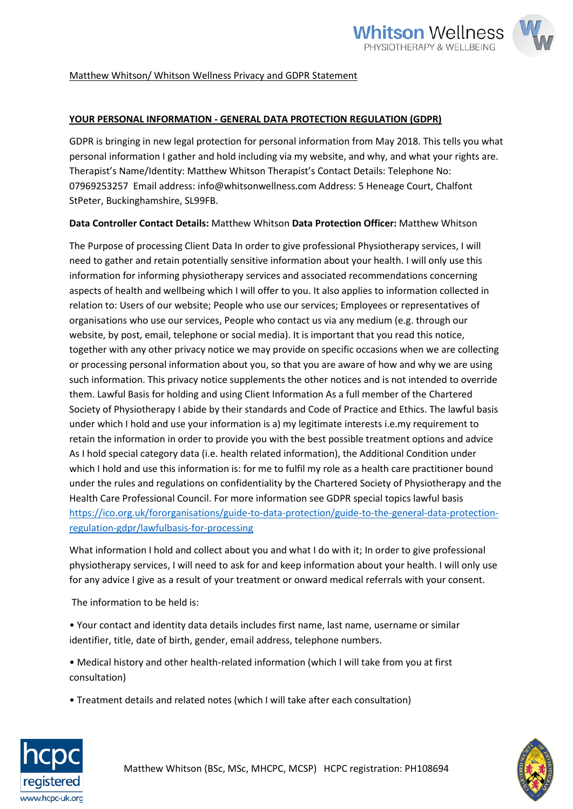#### Matthew Whitson/ Whitson Wellness Privacy and GDPR Statement

#### **YOUR PERSONAL INFORMATION - GENERAL DATA PROTECTION REGULATION (GDPR)**

GDPR is bringing in new legal protection for personal information from May 2018. This tells you what personal information I gather and hold including via my website, and why, and what your rights are. Therapist's Name/Identity: Matthew Whitson Therapist's Contact Details: Telephone No: 07969253257 Email address: info@whitsonwellness.com Address: 5 Heneage Court, Chalfont StPeter, Buckinghamshire, SL99FB.

#### **Data Controller Contact Details:** Matthew Whitson **Data Protection Officer:** Matthew Whitson

The Purpose of processing Client Data In order to give professional Physiotherapy services, I will need to gather and retain potentially sensitive information about your health. I will only use this information for informing physiotherapy services and associated recommendations concerning aspects of health and wellbeing which I will offer to you. It also applies to information collected in relation to: Users of our website; People who use our services; Employees or representatives of organisations who use our services, People who contact us via any medium (e.g. through our website, by post, email, telephone or social media). It is important that you read this notice, together with any other privacy notice we may provide on specific occasions when we are collecting or processing personal information about you, so that you are aware of how and why we are using such information. This privacy notice supplements the other notices and is not intended to override them. Lawful Basis for holding and using Client Information As a full member of the Chartered Society of Physiotherapy I abide by their standards and Code of Practice and Ethics. The lawful basis under which I hold and use your information is a) my legitimate interests i.e.my requirement to retain the information in order to provide you with the best possible treatment options and advice As I hold special category data (i.e. health related information), the Additional Condition under which I hold and use this information is: for me to fulfil my role as a health care practitioner bound under the rules and regulations on confidentiality by the Chartered Society of Physiotherapy and the Health Care Professional Council. For more information see GDPR special topics lawful basis [https://ico.org.uk/fororganisations/guide-to-data-protection/guide-to-the-general-data-protection](https://ico.org.uk/fororganisations/guide-to-data-protection/guide-to-the-general-data-protection-regulation-gdpr/lawfulbasis-for-processing)[regulation-gdpr/lawfulbasis-for-processing](https://ico.org.uk/fororganisations/guide-to-data-protection/guide-to-the-general-data-protection-regulation-gdpr/lawfulbasis-for-processing)

What information I hold and collect about you and what I do with it; In order to give professional physiotherapy services, I will need to ask for and keep information about your health. I will only use for any advice I give as a result of your treatment or onward medical referrals with your consent.

The information to be held is:

- Your contact and identity data details includes first name, last name, username or similar identifier, title, date of birth, gender, email address, telephone numbers.
- Medical history and other health-related information (which I will take from you at first consultation)
- Treatment details and related notes (which I will take after each consultation)



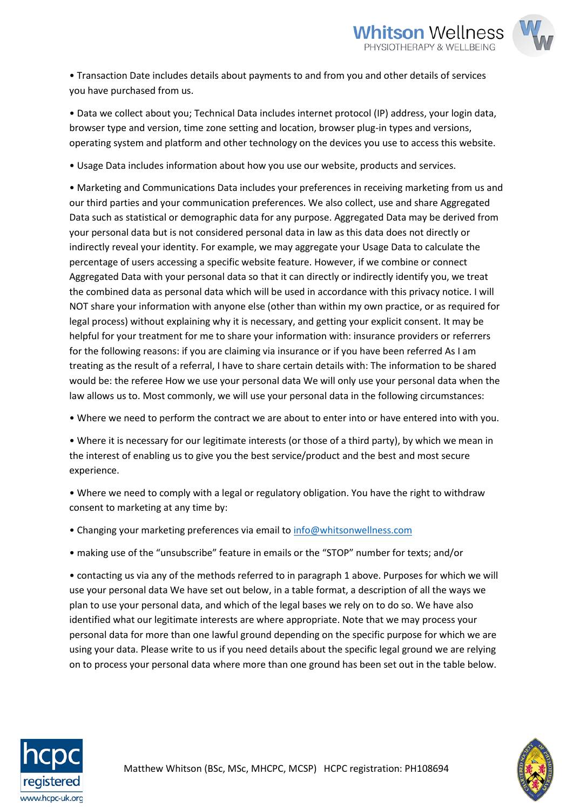



• Transaction Date includes details about payments to and from you and other details of services you have purchased from us.

• Data we collect about you; Technical Data includes internet protocol (IP) address, your login data, browser type and version, time zone setting and location, browser plug-in types and versions, operating system and platform and other technology on the devices you use to access this website.

• Usage Data includes information about how you use our website, products and services.

• Marketing and Communications Data includes your preferences in receiving marketing from us and our third parties and your communication preferences. We also collect, use and share Aggregated Data such as statistical or demographic data for any purpose. Aggregated Data may be derived from your personal data but is not considered personal data in law as this data does not directly or indirectly reveal your identity. For example, we may aggregate your Usage Data to calculate the percentage of users accessing a specific website feature. However, if we combine or connect Aggregated Data with your personal data so that it can directly or indirectly identify you, we treat the combined data as personal data which will be used in accordance with this privacy notice. I will NOT share your information with anyone else (other than within my own practice, or as required for legal process) without explaining why it is necessary, and getting your explicit consent. It may be helpful for your treatment for me to share your information with: insurance providers or referrers for the following reasons: if you are claiming via insurance or if you have been referred As I am treating as the result of a referral, I have to share certain details with: The information to be shared would be: the referee How we use your personal data We will only use your personal data when the law allows us to. Most commonly, we will use your personal data in the following circumstances:

• Where we need to perform the contract we are about to enter into or have entered into with you.

• Where it is necessary for our legitimate interests (or those of a third party), by which we mean in the interest of enabling us to give you the best service/product and the best and most secure experience.

- Where we need to comply with a legal or regulatory obligation. You have the right to withdraw consent to marketing at any time by:
- Changing your marketing preferences via email to [info@whitsonwellness.com](mailto:info@whitsonwellness.com)
- making use of the "unsubscribe" feature in emails or the "STOP" number for texts; and/or

• contacting us via any of the methods referred to in paragraph 1 above. Purposes for which we will use your personal data We have set out below, in a table format, a description of all the ways we plan to use your personal data, and which of the legal bases we rely on to do so. We have also identified what our legitimate interests are where appropriate. Note that we may process your personal data for more than one lawful ground depending on the specific purpose for which we are using your data. Please write to us if you need details about the specific legal ground we are relying on to process your personal data where more than one ground has been set out in the table below.



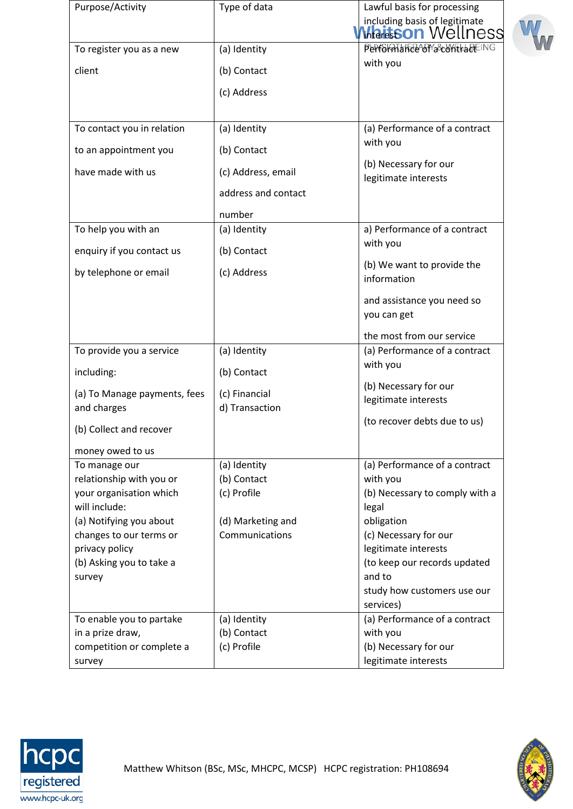| Purpose/Activity                         | Type of data        | Lawful basis for processing                              |
|------------------------------------------|---------------------|----------------------------------------------------------|
|                                          |                     | including basis of legitimate<br><b>Maitson</b> Wellness |
| To register you as a new                 | (a) Identity        | Performatice of acontraction                             |
| client                                   | (b) Contact         | with you                                                 |
|                                          | (c) Address         |                                                          |
| To contact you in relation               | (a) Identity        | (a) Performance of a contract                            |
| to an appointment you                    | (b) Contact         | with you                                                 |
| have made with us                        | (c) Address, email  | (b) Necessary for our<br>legitimate interests            |
|                                          | address and contact |                                                          |
|                                          | number              |                                                          |
| To help you with an                      | (a) Identity        | a) Performance of a contract<br>with you                 |
| enquiry if you contact us                | (b) Contact         |                                                          |
| by telephone or email                    | (c) Address         | (b) We want to provide the<br>information                |
|                                          |                     | and assistance you need so<br>you can get                |
|                                          |                     |                                                          |
|                                          |                     | the most from our service                                |
| To provide you a service                 | (a) Identity        | (a) Performance of a contract<br>with you                |
| including:                               | (b) Contact         |                                                          |
| (a) To Manage payments, fees             | (c) Financial       | (b) Necessary for our<br>legitimate interests            |
| and charges                              | d) Transaction      |                                                          |
| (b) Collect and recover                  |                     | (to recover debts due to us)                             |
| money owed to us                         |                     |                                                          |
| To manage our                            | (a) Identity        | (a) Performance of a contract                            |
| relationship with you or                 | (b) Contact         | with you                                                 |
| your organisation which<br>will include: | (c) Profile         | (b) Necessary to comply with a                           |
| (a) Notifying you about                  | (d) Marketing and   | legal<br>obligation                                      |
| changes to our terms or                  | Communications      | (c) Necessary for our                                    |
| privacy policy                           |                     | legitimate interests                                     |
| (b) Asking you to take a                 |                     | (to keep our records updated                             |
| survey                                   |                     | and to                                                   |
|                                          |                     | study how customers use our<br>services)                 |
| To enable you to partake                 | (a) Identity        | (a) Performance of a contract                            |
| in a prize draw,                         | (b) Contact         | with you                                                 |
| competition or complete a                | (c) Profile         | (b) Necessary for our                                    |
| survey                                   |                     | legitimate interests                                     |

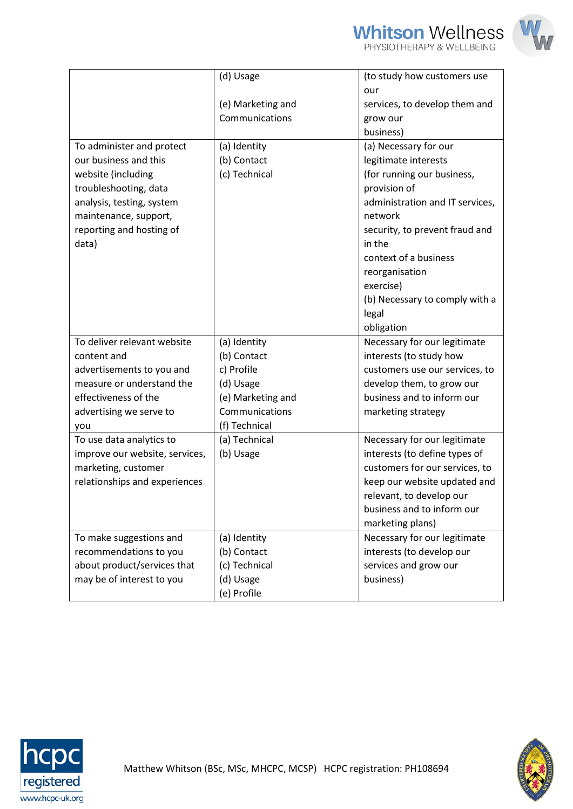



|                                | (d) Usage         | (to study how customers use     |
|--------------------------------|-------------------|---------------------------------|
|                                |                   | our                             |
|                                | (e) Marketing and | services, to develop them and   |
|                                | Communications    | grow our                        |
|                                |                   | business)                       |
| To administer and protect      | (a) Identity      | (a) Necessary for our           |
| our business and this          | (b) Contact       | legitimate interests            |
| website (including             | (c) Technical     | (for running our business,      |
| troubleshooting, data          |                   | provision of                    |
| analysis, testing, system      |                   | administration and IT services, |
| maintenance, support,          |                   | network                         |
| reporting and hosting of       |                   | security, to prevent fraud and  |
| data)                          |                   | in the                          |
|                                |                   | context of a business           |
|                                |                   | reorganisation                  |
|                                |                   | exercise)                       |
|                                |                   | (b) Necessary to comply with a  |
|                                |                   | legal                           |
|                                |                   | obligation                      |
| To deliver relevant website    | (a) Identity      | Necessary for our legitimate    |
| content and                    | (b) Contact       | interests (to study how         |
| advertisements to you and      | c) Profile        | customers use our services, to  |
| measure or understand the      | (d) Usage         | develop them, to grow our       |
| effectiveness of the           | (e) Marketing and | business and to inform our      |
| advertising we serve to        | Communications    | marketing strategy              |
| you                            | (f) Technical     |                                 |
| To use data analytics to       | (a) Technical     | Necessary for our legitimate    |
| improve our website, services, | (b) Usage         | interests (to define types of   |
| marketing, customer            |                   | customers for our services, to  |
| relationships and experiences  |                   | keep our website updated and    |
|                                |                   | relevant, to develop our        |
|                                |                   | business and to inform our      |
|                                |                   | marketing plans)                |
| To make suggestions and        | (a) Identity      | Necessary for our legitimate    |
| recommendations to you         | (b) Contact       | interests (to develop our       |
| about product/services that    | (c) Technical     | services and grow our           |
| may be of interest to you      | (d) Usage         | business)                       |
|                                | (e) Profile       |                                 |



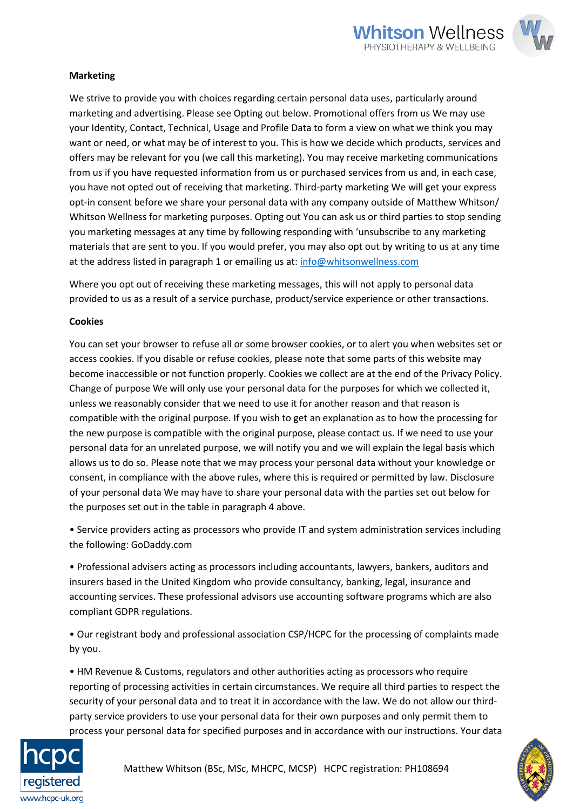

## **Marketing**

We strive to provide you with choices regarding certain personal data uses, particularly around marketing and advertising. Please see Opting out below. Promotional offers from us We may use your Identity, Contact, Technical, Usage and Profile Data to form a view on what we think you may want or need, or what may be of interest to you. This is how we decide which products, services and offers may be relevant for you (we call this marketing). You may receive marketing communications from us if you have requested information from us or purchased services from us and, in each case, you have not opted out of receiving that marketing. Third-party marketing We will get your express opt-in consent before we share your personal data with any company outside of Matthew Whitson/ Whitson Wellness for marketing purposes. Opting out You can ask us or third parties to stop sending you marketing messages at any time by following responding with 'unsubscribe to any marketing materials that are sent to you. If you would prefer, you may also opt out by writing to us at any time at the address listed in paragraph 1 or emailing us at: [info@whitsonwellness.com](mailto:info@whitsonwellness.com)

Where you opt out of receiving these marketing messages, this will not apply to personal data provided to us as a result of a service purchase, product/service experience or other transactions.

### **Cookies**

You can set your browser to refuse all or some browser cookies, or to alert you when websites set or access cookies. If you disable or refuse cookies, please note that some parts of this website may become inaccessible or not function properly. Cookies we collect are at the end of the Privacy Policy. Change of purpose We will only use your personal data for the purposes for which we collected it, unless we reasonably consider that we need to use it for another reason and that reason is compatible with the original purpose. If you wish to get an explanation as to how the processing for the new purpose is compatible with the original purpose, please contact us. If we need to use your personal data for an unrelated purpose, we will notify you and we will explain the legal basis which allows us to do so. Please note that we may process your personal data without your knowledge or consent, in compliance with the above rules, where this is required or permitted by law. Disclosure of your personal data We may have to share your personal data with the parties set out below for the purposes set out in the table in paragraph 4 above.

• Service providers acting as processors who provide IT and system administration services including the following: GoDaddy.com

• Professional advisers acting as processors including accountants, lawyers, bankers, auditors and insurers based in the United Kingdom who provide consultancy, banking, legal, insurance and accounting services. These professional advisors use accounting software programs which are also compliant GDPR regulations.

• Our registrant body and professional association CSP/HCPC for the processing of complaints made by you.

• HM Revenue & Customs, regulators and other authorities acting as processors who require reporting of processing activities in certain circumstances. We require all third parties to respect the security of your personal data and to treat it in accordance with the law. We do not allow our thirdparty service providers to use your personal data for their own purposes and only permit them to process your personal data for specified purposes and in accordance with our instructions. Your data



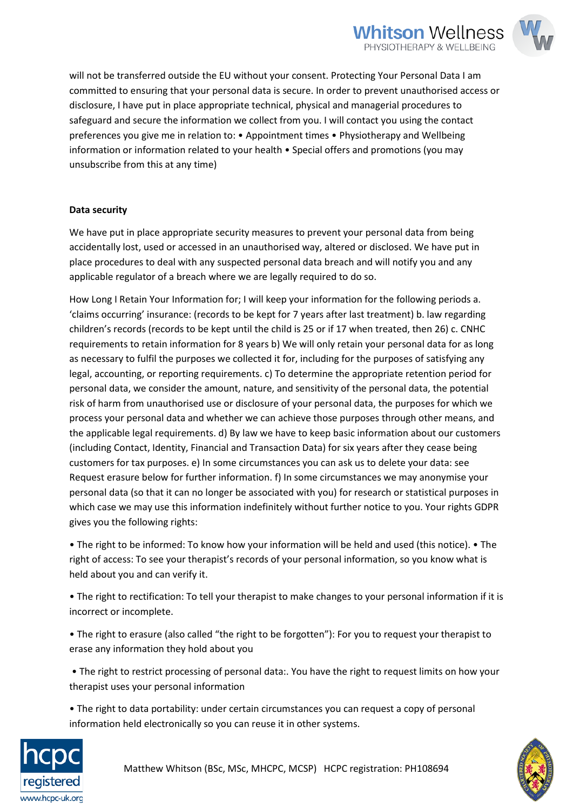

will not be transferred outside the EU without your consent. Protecting Your Personal Data I am committed to ensuring that your personal data is secure. In order to prevent unauthorised access or disclosure, I have put in place appropriate technical, physical and managerial procedures to safeguard and secure the information we collect from you. I will contact you using the contact preferences you give me in relation to: • Appointment times • Physiotherapy and Wellbeing information or information related to your health • Special offers and promotions (you may unsubscribe from this at any time)

## **Data security**

We have put in place appropriate security measures to prevent your personal data from being accidentally lost, used or accessed in an unauthorised way, altered or disclosed. We have put in place procedures to deal with any suspected personal data breach and will notify you and any applicable regulator of a breach where we are legally required to do so.

How Long I Retain Your Information for; I will keep your information for the following periods a. 'claims occurring' insurance: (records to be kept for 7 years after last treatment) b. law regarding children's records (records to be kept until the child is 25 or if 17 when treated, then 26) c. CNHC requirements to retain information for 8 years b) We will only retain your personal data for as long as necessary to fulfil the purposes we collected it for, including for the purposes of satisfying any legal, accounting, or reporting requirements. c) To determine the appropriate retention period for personal data, we consider the amount, nature, and sensitivity of the personal data, the potential risk of harm from unauthorised use or disclosure of your personal data, the purposes for which we process your personal data and whether we can achieve those purposes through other means, and the applicable legal requirements. d) By law we have to keep basic information about our customers (including Contact, Identity, Financial and Transaction Data) for six years after they cease being customers for tax purposes. e) In some circumstances you can ask us to delete your data: see Request erasure below for further information. f) In some circumstances we may anonymise your personal data (so that it can no longer be associated with you) for research or statistical purposes in which case we may use this information indefinitely without further notice to you. Your rights GDPR gives you the following rights:

• The right to be informed: To know how your information will be held and used (this notice). • The right of access: To see your therapist's records of your personal information, so you know what is held about you and can verify it.

• The right to rectification: To tell your therapist to make changes to your personal information if it is incorrect or incomplete.

• The right to erasure (also called "the right to be forgotten"): For you to request your therapist to erase any information they hold about you

• The right to restrict processing of personal data:. You have the right to request limits on how your therapist uses your personal information

• The right to data portability: under certain circumstances you can request a copy of personal information held electronically so you can reuse it in other systems.



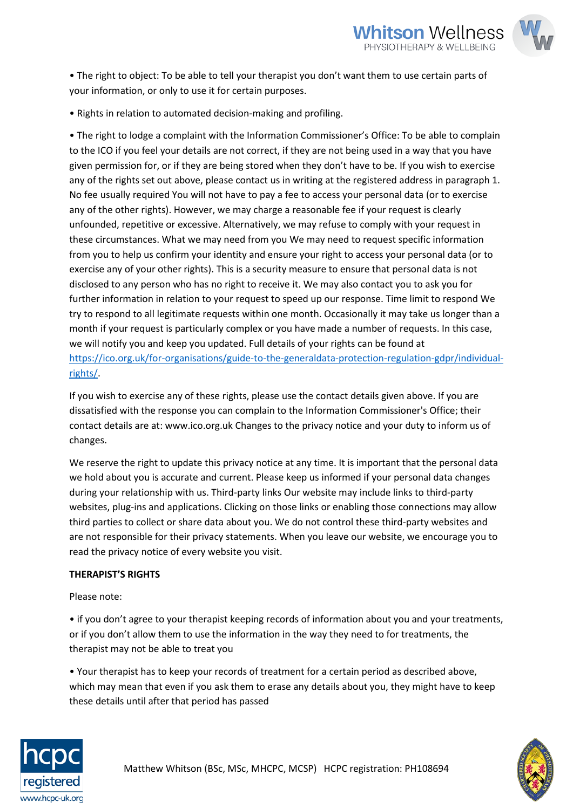

• The right to object: To be able to tell your therapist you don't want them to use certain parts of your information, or only to use it for certain purposes.

• Rights in relation to automated decision-making and profiling.

• The right to lodge a complaint with the Information Commissioner's Office: To be able to complain to the ICO if you feel your details are not correct, if they are not being used in a way that you have given permission for, or if they are being stored when they don't have to be. If you wish to exercise any of the rights set out above, please contact us in writing at the registered address in paragraph 1. No fee usually required You will not have to pay a fee to access your personal data (or to exercise any of the other rights). However, we may charge a reasonable fee if your request is clearly unfounded, repetitive or excessive. Alternatively, we may refuse to comply with your request in these circumstances. What we may need from you We may need to request specific information from you to help us confirm your identity and ensure your right to access your personal data (or to exercise any of your other rights). This is a security measure to ensure that personal data is not disclosed to any person who has no right to receive it. We may also contact you to ask you for further information in relation to your request to speed up our response. Time limit to respond We try to respond to all legitimate requests within one month. Occasionally it may take us longer than a month if your request is particularly complex or you have made a number of requests. In this case, we will notify you and keep you updated. Full details of your rights can be found at [https://ico.org.uk/for-organisations/guide-to-the-generaldata-protection-regulation-gdpr/individual](https://ico.org.uk/for-organisations/guide-to-the-generaldata-protection-regulation-gdpr/individual-rights/)[rights/.](https://ico.org.uk/for-organisations/guide-to-the-generaldata-protection-regulation-gdpr/individual-rights/)

If you wish to exercise any of these rights, please use the contact details given above. If you are dissatisfied with the response you can complain to the Information Commissioner's Office; their contact details are at: www.ico.org.uk Changes to the privacy notice and your duty to inform us of changes.

We reserve the right to update this privacy notice at any time. It is important that the personal data we hold about you is accurate and current. Please keep us informed if your personal data changes during your relationship with us. Third-party links Our website may include links to third-party websites, plug-ins and applications. Clicking on those links or enabling those connections may allow third parties to collect or share data about you. We do not control these third-party websites and are not responsible for their privacy statements. When you leave our website, we encourage you to read the privacy notice of every website you visit.

# **THERAPIST'S RIGHTS**

Please note:

• if you don't agree to your therapist keeping records of information about you and your treatments, or if you don't allow them to use the information in the way they need to for treatments, the therapist may not be able to treat you

• Your therapist has to keep your records of treatment for a certain period as described above, which may mean that even if you ask them to erase any details about you, they might have to keep these details until after that period has passed